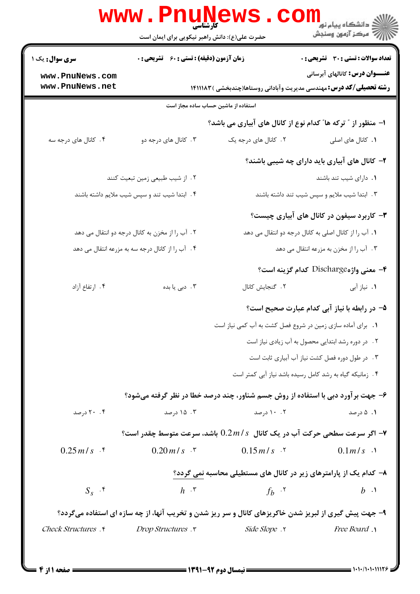|                                                  | حضرت علی(ع): دانش راهبر نیکویی برای ایمان است      |                                                                                                       | ڪ دانشڪاه پيا <sub>م</sub> نور<br>7ء مرڪز آزمون وسنڊش                        |
|--------------------------------------------------|----------------------------------------------------|-------------------------------------------------------------------------------------------------------|------------------------------------------------------------------------------|
| <b>سری سوال :</b> یک ۱                           | <b>زمان آزمون (دقیقه) : تستی : 60 ٪ تشریحی : 0</b> |                                                                                                       | تعداد سوالات : تستى : 30 ٪ تشريحي : 0                                        |
| www.PnuNews.com                                  |                                                    |                                                                                                       | <b>عنـــوان درس:</b> کانالهای آبرسانی                                        |
| www.PnuNews.net                                  |                                                    |                                                                                                       | <b>رشته تحصیلی/کد درس:</b> مهندسی مدیریت وآبادانی روستاها(چندبخشی ) ۱۴۱۱۱۸۳  |
|                                                  |                                                    | استفاده از ماشین حساب ساده مجاز است                                                                   |                                                                              |
|                                                  |                                                    |                                                                                                       | ا- منظور از " ترکه ها" کدام نوع از کانال های آبیاری می باشد؟                 |
| ۰۴ کانال های درجه سه                             | ۰۳ کانال های درجه دو                               | ۲. کانال های درجه یک                                                                                  | ۰۱ کانال های اصلی                                                            |
|                                                  |                                                    |                                                                                                       | ۲- کانال های آبیاری باید دارای چه شیبی باشند؟                                |
|                                                  | ٢. از شيب طبيعي زمين تبعيت كنند                    |                                                                                                       | ۰۱ دارای شیب تند باشند                                                       |
|                                                  | ۴. ابتدا شیب تند و سپس شیب ملایم داشته باشند       |                                                                                                       | ۳. ابتدا شیب ملایم و سپس شیب تند داشته باشند                                 |
|                                                  |                                                    |                                                                                                       | ۳- کاربرد سیفون در کانال های آبیاری چیست؟                                    |
|                                                  | ۲. آب را از مخزن به کانال درجه دو انتقال می دهد    |                                                                                                       | ۰۱ آب را از کانال اصلی به کانال درجه دو انتقال می دهد                        |
| ۴. آب را از کانال درجه سه به مزرعه انتقال می دهد |                                                    |                                                                                                       | ۰۳ آب را از مخزن به مزرعه انتقال می دهد                                      |
|                                                  |                                                    |                                                                                                       | ۴- معنی واژهDischarge کدام گزینه است؟                                        |
| ۰۴ ارتفاع آزاد                                   | ۰۳ دبی یا بده                                      | ٠٢ گنجايش كانال                                                                                       | ۰۱ نیاز آبی                                                                  |
|                                                  |                                                    |                                                                                                       | ۵– در رابطه با نیاز آبی کدام عبارت صحیح است؟                                 |
|                                                  |                                                    |                                                                                                       | 1. برای آماده سازی زمین در شروع فصل کشت به آب کمی نیاز است                   |
|                                                  |                                                    |                                                                                                       | ٢. در دوره رشد ابتدایی محصول به آب زیادی نیاز است                            |
|                                                  |                                                    |                                                                                                       | ۰۳ در طول دوره فصل کشت نیاز آب آبیاری ثابت است                               |
|                                                  |                                                    |                                                                                                       | ۰۴ زمانیکه گیاه به رشد کامل رسیده باشد نیاز آبی کمتر است                     |
|                                                  |                                                    | ۶- جهت برآورد دبی با استفاده از روش جسم شناور، چند درصد خطا در نظر گرفته میشود؟                       |                                                                              |
| ۲۰ . ۲۰ درصد                                     | ۰۳ - ۱۵ درصد                                       | ۰۰ ۱۰ درصد                                                                                            | ۰۱ ۵ درصد                                                                    |
|                                                  |                                                    |                                                                                                       | و سرعت سطحی حرکت آب در یک کانال $0.2\,m$ باشد، سرعت متوسط چقدر است $\bullet$ |
| $0.25 m/s$ f                                     | $0.20 \, m/s$ . $\zeta$                            | $0.15 \, m/s$ .                                                                                       | $0.1 m/s$ .                                                                  |
|                                                  |                                                    | ۸– کدام یک از پارامترهای زیر در کانال های مستطیلی محاسبه نمی گردد؟                                    |                                                                              |
| $S_{s}$ . $\zeta$                                | $h \cdot^{\mathsf{r}}$                             | $f_h$ $\cdot$ $\cdot$                                                                                 | $b \cdot \mathcal{A}$                                                        |
|                                                  |                                                    | ۹- جهت پیش گیری از لبریز شدن خاکریزهای کانال و سر ریز شدن و تخریب آنها، از چه سازه ای استفاده میگردد؟ |                                                                              |
| Check Structures .                               | <b>Drop Structures</b> .                           | r. <i>Side Slope</i>                                                                                  | <i>Free Board</i> .                                                          |

 $= 1.1 - 11.11175$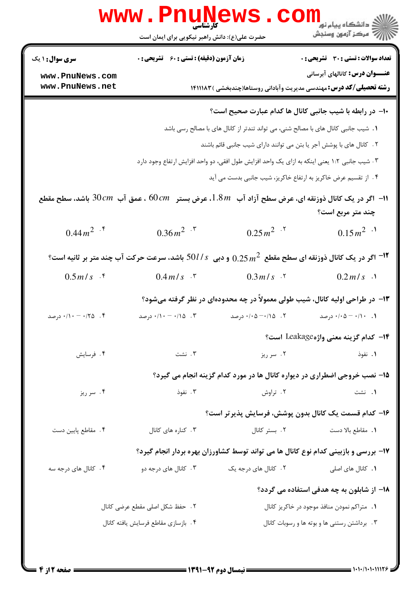|                                                                                                                    | www.PnuNews.<br>حضرت علی(ع): دانش راهبر نیکویی برای ایمان است |                                                                                                               | رد دانشڪاه پيام نور <mark>− −</mark><br>ا∛ مرکز آزمون وسنجش |
|--------------------------------------------------------------------------------------------------------------------|---------------------------------------------------------------|---------------------------------------------------------------------------------------------------------------|-------------------------------------------------------------|
| <b>سری سوال : ۱ یک</b>                                                                                             | زمان آزمون (دقیقه) : تستی : 60 ٪ تشریحی : 0                   |                                                                                                               | <b>تعداد سوالات : تستی : 30 ٪ تشریحی : 0</b>                |
| www.PnuNews.com<br>www.PnuNews.net                                                                                 |                                                               | <b>رشته تحصیلی/کد درس:</b> مهندسی مدیریت وآبادانی روستاها(چندبخشی )۱۴۱۱۱۸۳                                    | <b>عنـــوان درس:</b> کانالهای آبرسانی                       |
|                                                                                                                    |                                                               | ∙ا− در رابطه با شیب جانبی کانال ها کدام عبارت صحیح است؟                                                       |                                                             |
|                                                                                                                    |                                                               | 1. شیب جانبی کانال های با مصالح شنی، می تواند تندتر از کانال های با مصالح رسی باشد                            |                                                             |
|                                                                                                                    |                                                               | ٢. كانال هاى با پوشش آجر يا بتن مى توانند داراى شيب جانبى قائم باشند                                          |                                                             |
|                                                                                                                    |                                                               | ۰۳ شیب جانبی ۱:۲ یعنی اینکه به ازای یک واحد افزایش طول افقی، دو واحد افزایش ارتفاع وجود دارد                  |                                                             |
|                                                                                                                    |                                                               | ۰۴ از تقسیم عرض خاکریز به ارتفاع خاکریز، شیب جانبی بدست می آید                                                |                                                             |
| ا – اگر در یک کانال ذوزنقه ای، عرض سطح آزاد آب $1.8\,$ ، عرض بستر $\,cm\,$ ، عمق آب $30\,cm\,$ باشد، سطح مقطع $\,$ |                                                               |                                                                                                               | چند متر مربع است؟                                           |
| $0.44 m^2$ .*                                                                                                      | $0.36 m^2$ . $\sqrt{ }$                                       | $0.25 m^2$ . <sup>7</sup>                                                                                     | $0.15 m^2$ <sup>1</sup>                                     |
|                                                                                                                    |                                                               | ا اگر در یک کانال ذوزنقه ای سطح مقطع $0.25\,$ و دبی $0\,l$ / $s$ باشد، سرعت حرکت آب چند متر بر ثانیه است $^2$ |                                                             |
| $0.5 m/s$ f                                                                                                        | $0.4 \, m/s$ $\cdot$ $\cdot$                                  | $0.3 m/s$ . T                                                                                                 | $0.2 m/s$ .                                                 |
|                                                                                                                    |                                                               | ۱۳- در طراحی اولیه کانال، شیب طولی معمولاً در چه محدودهای در نظر گرفته میشود؟                                 |                                                             |
| ۰/۱۰ - ۰/۱۰ $\sim$ رصد $\cdot$                                                                                     | ۰/۱۰ - ۰/۱۰ درصد                                              | ۰/۰۵ -۰/۱۵ درصد                                                                                               | ۰/۰۵ - ۰/۱۰ درصد                                            |
|                                                                                                                    |                                                               |                                                                                                               | 1۴– كدام گزينه معنى واژهLeakage است؟                        |
| ۰۴ فرسایش                                                                                                          | ۰۳ نشت                                                        | ۰۲ سر ریز                                                                                                     | ۰۱ نفوذ                                                     |
|                                                                                                                    |                                                               | ۱۵- نصب خروجی اضطراری در دیواره کانال ها در مورد کدام گزینه انجام می گیرد؟                                    |                                                             |
| ۰۴ سر ریز                                                                                                          | ۰۳ نفوذ                                                       | ۰۲ تراوش                                                                                                      | ۰۱ نشت                                                      |
|                                                                                                                    |                                                               | ۱۶– کدام قسمت یک کانال بدون پوشش، فرسایش پذیر تر است؟                                                         |                                                             |
| ۴. مقاطع پایین دست                                                                                                 | ۰۳ کناره های کانال                                            | ۰۲ بستر کانال                                                                                                 | <b>۱.</b> مقاطع بالا دست                                    |
|                                                                                                                    |                                                               | ۱۷- بررسی و بازبینی کدام نوع کانال ها می تواند توسط کشاورزان بهره بردار انجام گیرد؟                           |                                                             |
| ۰۴ کانال های درجه سه                                                                                               | ۰۳ کانال های درجه دو                                          | ۲. کانال های درجه یک                                                                                          | <b>۱.</b> کانال های اصلی                                    |
|                                                                                                                    |                                                               |                                                                                                               | <b>۱۸</b> – از شابلون به چه هدفی استفاده می گردد؟           |
|                                                                                                                    | ٢. حفظ شكل اصلى مقطع عرضى كانال                               |                                                                                                               | ۰۱ متراکم نمودن منافذ موجود در خاکریز کانال                 |
|                                                                                                                    | ۰۴ بازسازي مقاطع فرسايش يافته كانال                           |                                                                                                               | ۰۳ برداشتن رستنی ها و بوته ها و رسوبات کانال                |
|                                                                                                                    |                                                               |                                                                                                               |                                                             |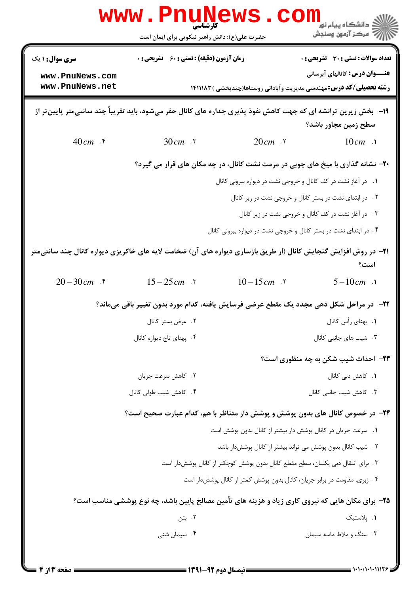|                                                                                                                         | <b>WWW.PHUINE</b><br>حضرت علی(ع): دانش راهبر نیکویی برای ایمان است                                               |                                                                                | ≦ دانشڪاه پيام نور<br>7- مرڪز آزمون وسنڊش                                                                           |
|-------------------------------------------------------------------------------------------------------------------------|------------------------------------------------------------------------------------------------------------------|--------------------------------------------------------------------------------|---------------------------------------------------------------------------------------------------------------------|
| <b>سری سوال : ۱ یک</b>                                                                                                  | <b>زمان آزمون (دقیقه) : تستی : 60 ٪ تشریحی : 0</b>                                                               |                                                                                | <b>تعداد سوالات : تستی : 30 ٪ تشریحی : 0</b>                                                                        |
| www.PnuNews.com<br>www.PnuNews.net                                                                                      |                                                                                                                  |                                                                                | <b>عنـــوان درس:</b> کانالهای آبرسانی<br><b>رشته تحصیلی/کد درس:</b> مهندسی مدیریت وآبادانی روستاها(چندبخشی )۱۴۱۱۱۸۳ |
|                                                                                                                         | ۱۹- ً بخش زیرین ترانشه ای که جهت کاهش نفوذ پذیری جداره های کانال حفر میشود، باید تقریباً چند سانتیمتر پایینتر از |                                                                                | سطح زمین مجاور باشد؟                                                                                                |
| $40cm$ . $\zeta$                                                                                                        | $30 cm$ $\cdot$ $\cdot$                                                                                          | $20cm$ $\cdot$ $\cdot$                                                         | $10cm$ .                                                                                                            |
|                                                                                                                         |                                                                                                                  |                                                                                | ۲۰- نشانه گذاری با میخ های چوبی در مرمت نشت کانال، در چه مکان های قرار می گیرد؟                                     |
|                                                                                                                         |                                                                                                                  | ۰۱ در آغاز نشت در کف کانال و خروجی نشت در دیواره بیرونی کانال                  |                                                                                                                     |
|                                                                                                                         |                                                                                                                  |                                                                                | ۰۲ در ابتدای نشت در بستر کانال و خروجی نشت در زیر کانال                                                             |
|                                                                                                                         |                                                                                                                  |                                                                                | ۰۳ در آغاز نشت در کف کانال و خروجی نشت در زیر کانال                                                                 |
|                                                                                                                         |                                                                                                                  | ۰۴ در ابتدای نشت در بستر کانال و خروجی نشت در دیواره بیرونی کانال              |                                                                                                                     |
| <b>۲۱</b> - در روش افزایش گنجایش کانال (از طریق بازسازی دیواره های آن) ضخامت لایه های خاکریزی دیواره کانال چند سانتی¤تر |                                                                                                                  |                                                                                | است؟                                                                                                                |
| $20 - 30$ cm $\cdot$ *                                                                                                  | $15 - 25 \, \text{cm}$ .                                                                                         | $10 - 15$ cm $\cdot$ $\cdot$                                                   | $5 - 10cm$ .                                                                                                        |
|                                                                                                                         | ۲۲-۔ در مراحل شکل دھی مجدد یک مقطع عرضی فرسایش یافته، کدام مورد بدون تغییر باقی میماند؟                          |                                                                                |                                                                                                                     |
|                                                                                                                         | ۰۲ عرض بستر کانال                                                                                                |                                                                                | ۰۱ پهناي رأس كانال                                                                                                  |
|                                                                                                                         | ۰۴ پهناي تاج ديواره كانال                                                                                        |                                                                                | ۰۳ شیب های جانبی کانال                                                                                              |
|                                                                                                                         |                                                                                                                  |                                                                                | <b>۲۳</b> - احداث شیب شکن به چه منظوری است؟                                                                         |
|                                                                                                                         | ۰۲ کاهش سرعت جريان                                                                                               |                                                                                | 1. كاهش دبى كانال                                                                                                   |
|                                                                                                                         | ۰۴ کاهش شیب طولی کانال                                                                                           |                                                                                | ۰۳ کاهش شیب جانبی کانال                                                                                             |
|                                                                                                                         | ۲۴- در خصوص کانال های بدون پوشش و پوشش دار متناظر با هم، کدام عبارت صحیح است؟                                    |                                                                                |                                                                                                                     |
|                                                                                                                         |                                                                                                                  | 1. سرعت جریان در کانال پوشش دار بیشتر از کانال بدون پوشش است                   |                                                                                                                     |
|                                                                                                                         |                                                                                                                  | ٢. شیب کانال بدون پوشش می تواند بیشتر از کانال پوشش دار باشد                   |                                                                                                                     |
|                                                                                                                         |                                                                                                                  | ۰۳ برای انتقال دبی یکسان، سطح مقطع کانال بدون پوشش کوچکتر از کانال پوششدار است |                                                                                                                     |
|                                                                                                                         |                                                                                                                  | ۰۴ زبری، مقاومت در برابر جریان، کانال بدون پوشش کمتر از کانال پوشش دار است     |                                                                                                                     |
|                                                                                                                         | ۲۵- برای مکان هایی که نیروی کاری زیاد و هزینه های تأمین مصالح پایین باشد، چه نوع پوششی مناسب است؟                |                                                                                |                                                                                                                     |
|                                                                                                                         | ۰۲ بتن                                                                                                           |                                                                                | ۰۱ پلاستیک                                                                                                          |
|                                                                                                                         | ۰۴ سیمان شنبی                                                                                                    |                                                                                | ۰۳ سنگ و ملاط ماسه سیمان                                                                                            |